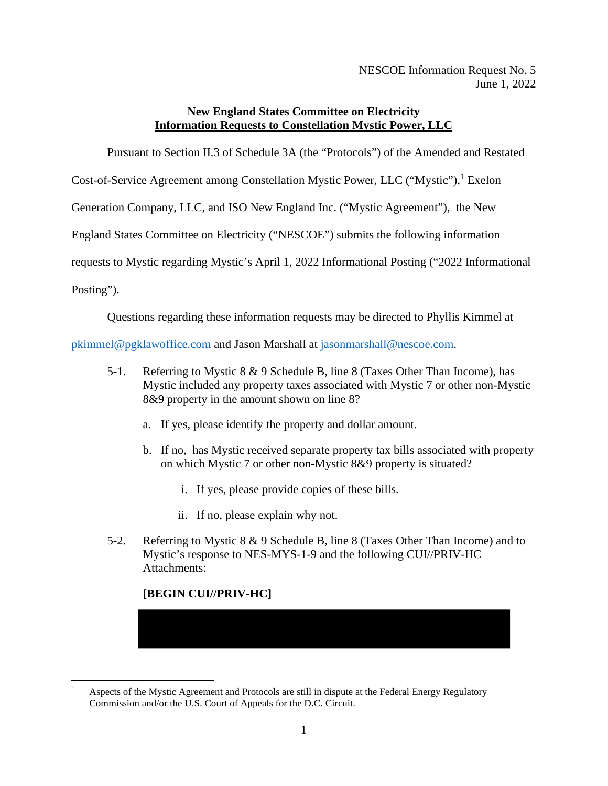NESCOE Information Request No. 5 June 1, 2022

## **New England States Committee on Electricity Information Requests to Constellation Mystic Power, LLC**

Pursuant to Section II.3 of Schedule 3A (the "Protocols") of the Amended and Restated

Cost-of-Service Agreement among Constellation Mystic Power, LLC ("Mystic"),<sup>1</sup> Exelon

Generation Company, LLC, and ISO New England Inc. ("Mystic Agreement"), the New

England States Committee on Electricity ("NESCOE") submits the following information

requests to Mystic regarding Mystic's April 1, 2022 Informational Posting ("2022 Informational

Posting").

Questions regarding these information requests may be directed to Phyllis Kimmel at

pkimmel@pgklawoffice.com and Jason Marshall at jasonmarshall@nescoe.com.

- 5-1. Referring to Mystic 8 & 9 Schedule B, line 8 (Taxes Other Than Income), has Mystic included any property taxes associated with Mystic 7 or other non-Mystic 8&9 property in the amount shown on line 8?
	- a. If yes, please identify the property and dollar amount.
	- b. If no, has Mystic received separate property tax bills associated with property on which Mystic 7 or other non-Mystic 8&9 property is situated?
		- i. If yes, please provide copies of these bills.
		- ii. If no, please explain why not.
- 5-2. Referring to Mystic 8 & 9 Schedule B, line 8 (Taxes Other Than Income) and to Mystic's response to NES-MYS-1-9 and the following CUI//PRIV-HC Attachments:

## **[BEGIN CUI//PRIV-HC]**

<sup>1</sup> Aspects of the Mystic Agreement and Protocols are still in dispute at the Federal Energy Regulatory Commission and/or the U.S. Court of Appeals for the D.C. Circuit.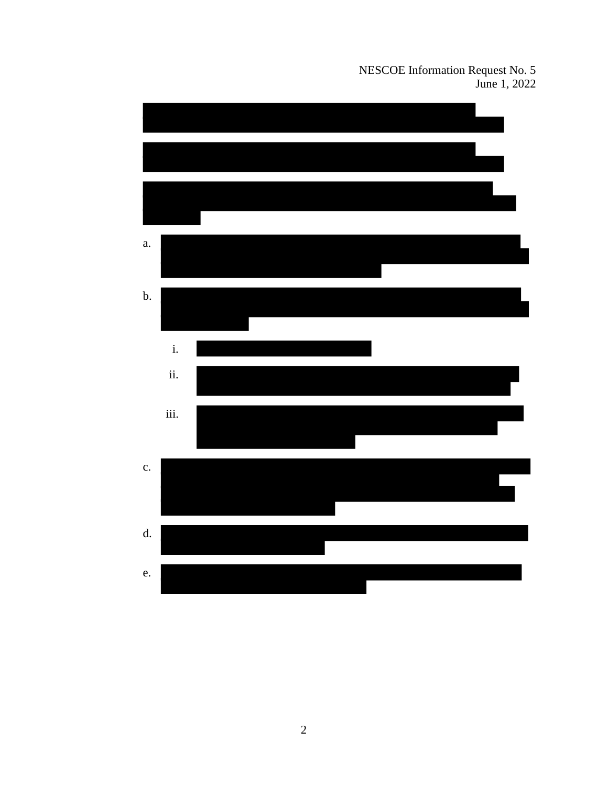NESCOE Information Request No. 5 June 1, 2022